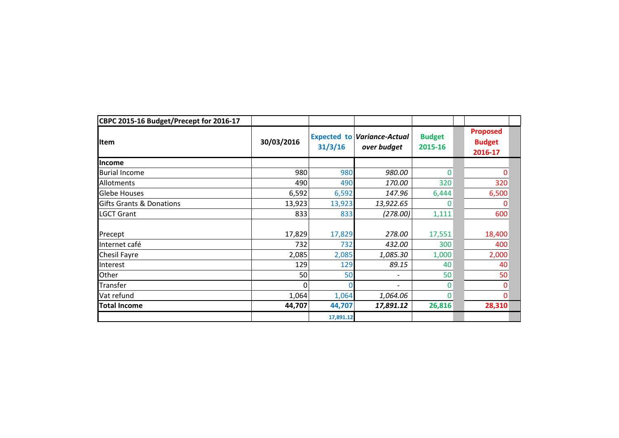| lltem                               | 30/03/2016 | 31/3/16   | <b>Expected to Variance-Actual</b><br>over budget | <b>Budget</b><br>2015-16 | <b>Proposed</b><br><b>Budget</b><br>2016-17 |
|-------------------------------------|------------|-----------|---------------------------------------------------|--------------------------|---------------------------------------------|
| Income                              |            |           |                                                   |                          |                                             |
| <b>Burial Income</b>                | 980        | 980       | 980.00                                            | $\Omega$                 |                                             |
| Allotments                          | 490        | 490       | 170.00                                            | 320                      | 320                                         |
| Glebe Houses                        | 6,592      | 6,592     | 147.96                                            | 6,444                    | 6,500                                       |
| <b>Gifts Grants &amp; Donations</b> | 13,923     | 13,923    | 13,922.65                                         | 0                        |                                             |
| <b>LGCT Grant</b>                   | 833        | 833       | (278.00)                                          | 1,111                    | 600                                         |
| Precept                             | 17,829     | 17,829    | 278.00                                            | 17,551                   | 18,400                                      |
| Internet café                       | 732        | 732       | 432.00                                            | 300                      | 400                                         |
| Chesil Fayre                        | 2,085      | 2,085     | 1,085.30                                          | 1,000                    | 2,000                                       |
| Interest                            | 129        | 129       | 89.15                                             | 40                       |                                             |
| Other                               | 50         | 50        | $\overline{\phantom{0}}$                          | 50                       |                                             |
| Transfer                            | $\Omega$   |           | $\overline{\phantom{0}}$                          | 0                        |                                             |
| Vat refund                          | 1,064      | 1,064     | 1,064.06                                          | 0                        |                                             |
| <b>Total Income</b>                 | 44,707     | 44,707    | 17,891.12                                         | 26,816                   | 28,310                                      |
|                                     |            | 17,891.12 |                                                   |                          |                                             |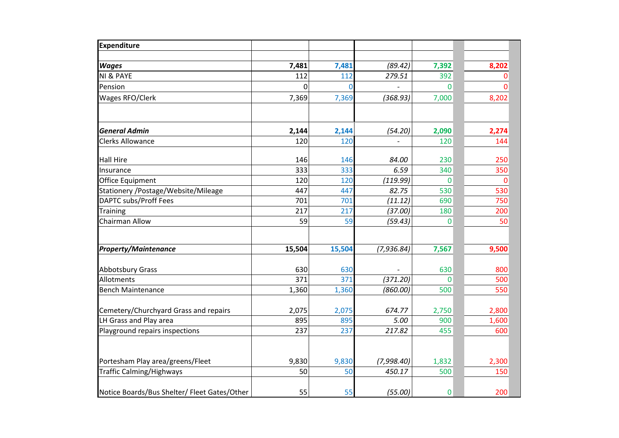| <b>Expenditure</b>                           |        |        |            |              |              |
|----------------------------------------------|--------|--------|------------|--------------|--------------|
| <b>Wages</b>                                 | 7,481  | 7,481  | (89.42)    | 7,392        | 8,202        |
| NI & PAYE                                    | 112    | 112    | 279.51     | 392          | 0            |
|                                              |        |        |            |              |              |
| Pension                                      | 0      | 0      |            | 0            | 0            |
| Wages RFO/Clerk                              | 7,369  | 7,369  | (368.93)   | 7,000        | 8,202        |
| <b>General Admin</b>                         | 2,144  | 2,144  | (54.20)    | 2,090        | 2,274        |
| <b>Clerks Allowance</b>                      | 120    | 120    |            | 120          | 144          |
| Hall Hire                                    | 146    | 146    | 84.00      | 230          | 250          |
| Insurance                                    | 333    | 333    | 6.59       | 340          | 350          |
| Office Equipment                             | 120    | 120    | (119.99)   | $\mathbf{0}$ | $\mathbf{0}$ |
| Stationery /Postage/Website/Mileage          | 447    | 447    | 82.75      | 530          | 530          |
| DAPTC subs/Proff Fees                        | 701    | 701    | (11.12)    | 690          | 750          |
| Training                                     | 217    | 217    | (37.00)    | 180          | 200          |
| Chairman Allow                               | 59     | 59     | (59.43)    | 0            | 50           |
| <b>Property/Maintenance</b>                  | 15,504 | 15,504 | (7,936.84) | 7,567        | 9,500        |
| <b>Abbotsbury Grass</b>                      | 630    | 630    |            | 630          | 800          |
| Allotments                                   | 371    | 371    | (371.20)   | 0            | 500          |
| <b>Bench Maintenance</b>                     | 1,360  | 1,360  | (860.00)   | 500          | 550          |
| Cemetery/Churchyard Grass and repairs        | 2,075  | 2,075  | 674.77     | 2,750        | 2,800        |
| LH Grass and Play area                       | 895    | 895    | 5.00       | 900          | 1,600        |
| Playground repairs inspections               | 237    | 237    | 217.82     | 455          | 600          |
| Portesham Play area/greens/Fleet             | 9,830  | 9,830  | (7,998.40) | 1,832        | 2,300        |
| <b>Traffic Calming/Highways</b>              | 50     | 50     | 450.17     | 500          | 150          |
| Notice Boards/Bus Shelter/ Fleet Gates/Other | 55     | 55     | (55.00)    | 0            | 200          |